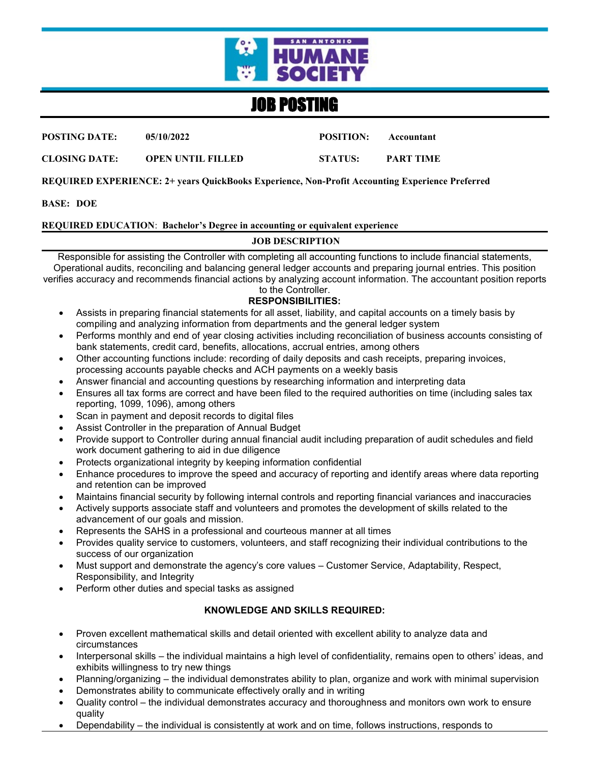

# JOB POSTING

**POSTING DATE: 05/10/2022 POSITION: Accountant**

**CLOSING DATE: OPEN UNTIL FILLED STATUS: PART TIME**

**REQUIRED EXPERIENCE: 2+ years QuickBooks Experience, Non-Profit Accounting Experience Preferred**

**BASE: DOE** 

### **REQUIRED EDUCATION**: **Bachelor's Degree in accounting or equivalent experience**

## **JOB DESCRIPTION**

Responsible for assisting the Controller with completing all accounting functions to include financial statements, Operational audits, reconciling and balancing general ledger accounts and preparing journal entries. This position verifies accuracy and recommends financial actions by analyzing account information. The accountant position reports

#### to the Controller. **RESPONSIBILITIES:**

- Assists in preparing financial statements for all asset, liability, and capital accounts on a timely basis by compiling and analyzing information from departments and the general ledger system
- Performs monthly and end of year closing activities including reconciliation of business accounts consisting of bank statements, credit card, benefits, allocations, accrual entries, among others
- Other accounting functions include: recording of daily deposits and cash receipts, preparing invoices, processing accounts payable checks and ACH payments on a weekly basis
- Answer financial and accounting questions by researching information and interpreting data
- Ensures all tax forms are correct and have been filed to the required authorities on time (including sales tax reporting, 1099, 1096), among others
- Scan in payment and deposit records to digital files
- Assist Controller in the preparation of Annual Budget
- Provide support to Controller during annual financial audit including preparation of audit schedules and field work document gathering to aid in due diligence
- Protects organizational integrity by keeping information confidential
- Enhance procedures to improve the speed and accuracy of reporting and identify areas where data reporting and retention can be improved
- Maintains financial security by following internal controls and reporting financial variances and inaccuracies
- Actively supports associate staff and volunteers and promotes the development of skills related to the advancement of our goals and mission.
- Represents the SAHS in a professional and courteous manner at all times
- Provides quality service to customers, volunteers, and staff recognizing their individual contributions to the success of our organization
- Must support and demonstrate the agency's core values Customer Service, Adaptability, Respect, Responsibility, and Integrity
- Perform other duties and special tasks as assigned

## **KNOWLEDGE AND SKILLS REQUIRED:**

- Proven excellent mathematical skills and detail oriented with excellent ability to analyze data and circumstances
- Interpersonal skills the individual maintains a high level of confidentiality, remains open to others' ideas, and exhibits willingness to try new things
- Planning/organizing the individual demonstrates ability to plan, organize and work with minimal supervision
- Demonstrates ability to communicate effectively orally and in writing
- Quality control the individual demonstrates accuracy and thoroughness and monitors own work to ensure quality
- Dependability the individual is consistently at work and on time, follows instructions, responds to